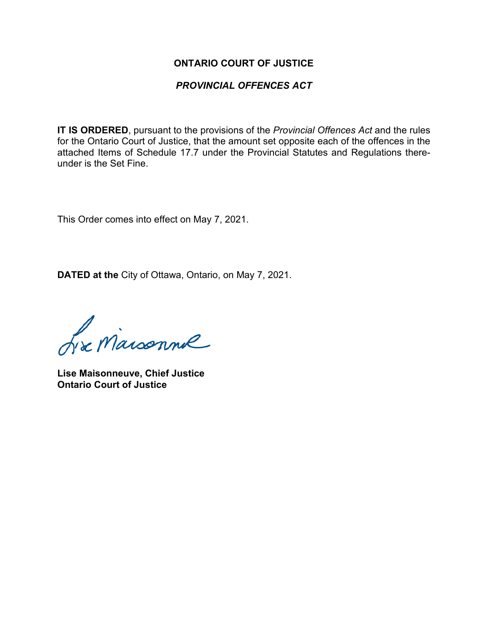## **ONTARIO COURT OF JUSTICE**

## *PROVINCIAL OFFENCES ACT*

**IT IS ORDERED**, pursuant to the provisions of the *Provincial Offences Act* and the rules for the Ontario Court of Justice, that the amount set opposite each of the offences in the attached Items of Schedule 17.7 under the Provincial Statutes and Regulations thereunder is the Set Fine.

This Order comes into effect on May 7, 2021.

**DATED at the** City of Ottawa, Ontario, on May 7, 2021.

Lix Maisonne

**Lise Maisonneuve, Chief Justice Ontario Court of Justice**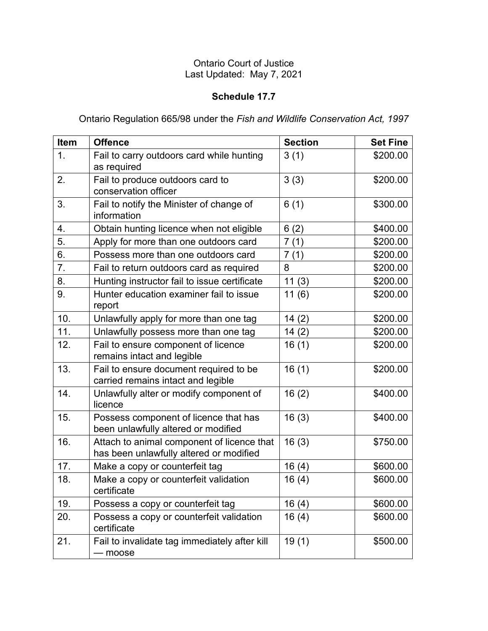## Ontario Court of Justice Last Updated: May 7, 2021

## **Schedule 17.7**

Ontario Regulation 665/98 under the *Fish and Wildlife Conservation Act, 1997*

| <b>Item</b> | <b>Offence</b>                                                                        | <b>Section</b> | <b>Set Fine</b> |
|-------------|---------------------------------------------------------------------------------------|----------------|-----------------|
| 1.          | Fail to carry outdoors card while hunting<br>as required                              | 3(1)           | \$200.00        |
| 2.          | Fail to produce outdoors card to<br>conservation officer                              | 3(3)           | \$200.00        |
| 3.          | Fail to notify the Minister of change of<br>information                               | 6(1)           | \$300.00        |
| 4.          | Obtain hunting licence when not eligible                                              | 6(2)           | \$400.00        |
| 5.          | Apply for more than one outdoors card                                                 | 7(1)           | \$200.00        |
| 6.          | Possess more than one outdoors card                                                   | 7(1)           | \$200.00        |
| 7.          | Fail to return outdoors card as required                                              | 8              | \$200.00        |
| 8.          | Hunting instructor fail to issue certificate                                          | 11(3)          | \$200.00        |
| 9.          | Hunter education examiner fail to issue<br>report                                     | 11(6)          | \$200.00        |
| 10.         | Unlawfully apply for more than one tag                                                | 14(2)          | \$200.00        |
| 11.         | Unlawfully possess more than one tag                                                  | 14(2)          | \$200.00        |
| 12.         | Fail to ensure component of licence<br>remains intact and legible                     | 16(1)          | \$200.00        |
| 13.         | Fail to ensure document required to be<br>carried remains intact and legible          | 16(1)          | \$200.00        |
| 14.         | Unlawfully alter or modify component of<br>licence                                    | 16(2)          | \$400.00        |
| 15.         | Possess component of licence that has<br>been unlawfully altered or modified          | 16(3)          | \$400.00        |
| 16.         | Attach to animal component of licence that<br>has been unlawfully altered or modified | 16(3)          | \$750.00        |
| 17.         | Make a copy or counterfeit tag                                                        | 16(4)          | \$600.00        |
| 18.         | Make a copy or counterfeit validation<br>certificate                                  | 16(4)          | \$600.00        |
| 19.         | Possess a copy or counterfeit tag                                                     | 16(4)          | \$600.00        |
| 20.         | Possess a copy or counterfeit validation<br>certificate                               | 16(4)          | \$600.00        |
| 21.         | Fail to invalidate tag immediately after kill<br>moose                                | 19(1)          | \$500.00        |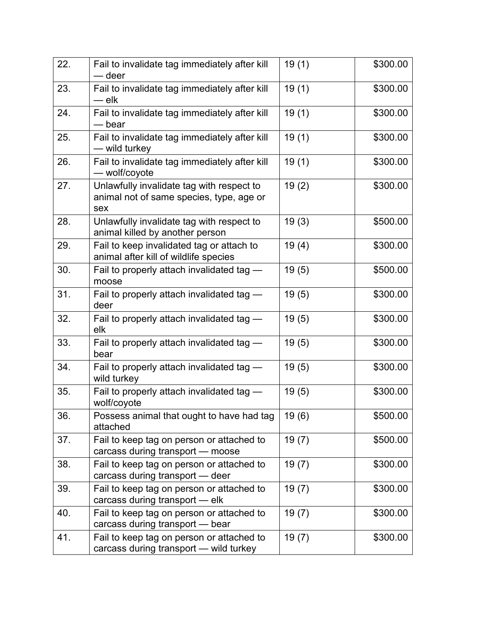| 22. | Fail to invalidate tag immediately after kill<br>$-\mathsf{deer}$                            | 19(1) | \$300.00 |
|-----|----------------------------------------------------------------------------------------------|-------|----------|
| 23. | Fail to invalidate tag immediately after kill<br>$-\mathsf{elk}$                             | 19(1) | \$300.00 |
| 24. | Fail to invalidate tag immediately after kill<br>— bear                                      | 19(1) | \$300.00 |
| 25. | Fail to invalidate tag immediately after kill<br>— wild turkey                               | 19(1) | \$300.00 |
| 26. | Fail to invalidate tag immediately after kill<br>— wolf/coyote                               | 19(1) | \$300.00 |
| 27. | Unlawfully invalidate tag with respect to<br>animal not of same species, type, age or<br>sex | 19(2) | \$300.00 |
| 28. | Unlawfully invalidate tag with respect to<br>animal killed by another person                 | 19(3) | \$500.00 |
| 29. | Fail to keep invalidated tag or attach to<br>animal after kill of wildlife species           | 19(4) | \$300.00 |
| 30. | Fail to properly attach invalidated tag -<br>moose                                           | 19(5) | \$500.00 |
| 31. | Fail to properly attach invalidated tag -<br>deer                                            | 19(5) | \$300.00 |
| 32. | Fail to properly attach invalidated tag -<br>elk                                             | 19(5) | \$300.00 |
| 33. | Fail to properly attach invalidated tag -<br>bear                                            | 19(5) | \$300.00 |
| 34. | Fail to properly attach invalidated tag -<br>wild turkey                                     | 19(5) | \$300.00 |
| 35. | Fail to properly attach invalidated tag -<br>wolf/coyote                                     | 19(5) | \$300.00 |
| 36. | Possess animal that ought to have had tag<br>attached                                        | 19(6) | \$500.00 |
| 37. | Fail to keep tag on person or attached to<br>carcass during transport - moose                | 19(7) | \$500.00 |
| 38. | Fail to keep tag on person or attached to<br>carcass during transport - deer                 | 19(7) | \$300.00 |
| 39. | Fail to keep tag on person or attached to<br>carcass during transport - elk                  | 19(7) | \$300.00 |
| 40. | Fail to keep tag on person or attached to<br>carcass during transport - bear                 | 19(7) | \$300.00 |
| 41. | Fail to keep tag on person or attached to<br>carcass during transport - wild turkey          | 19(7) | \$300.00 |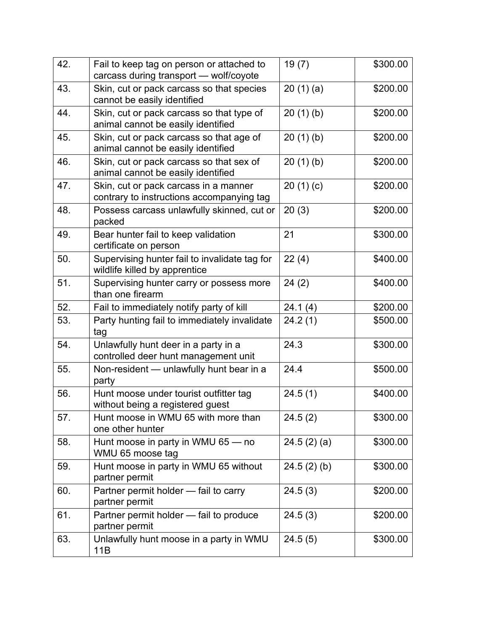| 42. | Fail to keep tag on person or attached to<br>carcass during transport - wolf/coyote | 19(7)      | \$300.00 |
|-----|-------------------------------------------------------------------------------------|------------|----------|
| 43. | Skin, cut or pack carcass so that species<br>cannot be easily identified            | 20(1)(a)   | \$200.00 |
| 44. | Skin, cut or pack carcass so that type of<br>animal cannot be easily identified     | 20(1)(b)   | \$200.00 |
| 45. | Skin, cut or pack carcass so that age of<br>animal cannot be easily identified      | 20(1)(b)   | \$200.00 |
| 46. | Skin, cut or pack carcass so that sex of<br>animal cannot be easily identified      | 20(1)(b)   | \$200.00 |
| 47. | Skin, cut or pack carcass in a manner<br>contrary to instructions accompanying tag  | 20(1)(c)   | \$200.00 |
| 48. | Possess carcass unlawfully skinned, cut or<br>packed                                | 20(3)      | \$200.00 |
| 49. | Bear hunter fail to keep validation<br>certificate on person                        | 21         | \$300.00 |
| 50. | Supervising hunter fail to invalidate tag for<br>wildlife killed by apprentice      | 22(4)      | \$400.00 |
| 51. | Supervising hunter carry or possess more<br>than one firearm                        | 24(2)      | \$400.00 |
| 52. | Fail to immediately notify party of kill                                            | 24.1(4)    | \$200.00 |
| 53. | Party hunting fail to immediately invalidate<br>tag                                 | 24.2(1)    | \$500.00 |
| 54. | Unlawfully hunt deer in a party in a<br>controlled deer hunt management unit        | 24.3       | \$300.00 |
| 55. | Non-resident - unlawfully hunt bear in a<br>party                                   | 24.4       | \$500.00 |
| 56. | Hunt moose under tourist outfitter tag<br>without being a registered guest          | 24.5(1)    | \$400.00 |
| 57. | Hunt moose in WMU 65 with more than<br>one other hunter                             | 24.5(2)    | \$300.00 |
| 58. | Hunt moose in party in WMU 65 - no<br>WMU 65 moose tag                              | 24.5(2)(a) | \$300.00 |
| 59. | Hunt moose in party in WMU 65 without<br>partner permit                             | 24.5(2)(b) | \$300.00 |
| 60. | Partner permit holder - fail to carry<br>partner permit                             | 24.5(3)    | \$200.00 |
| 61. | Partner permit holder - fail to produce<br>partner permit                           | 24.5(3)    | \$200.00 |
| 63. | Unlawfully hunt moose in a party in WMU<br>11B                                      | 24.5(5)    | \$300.00 |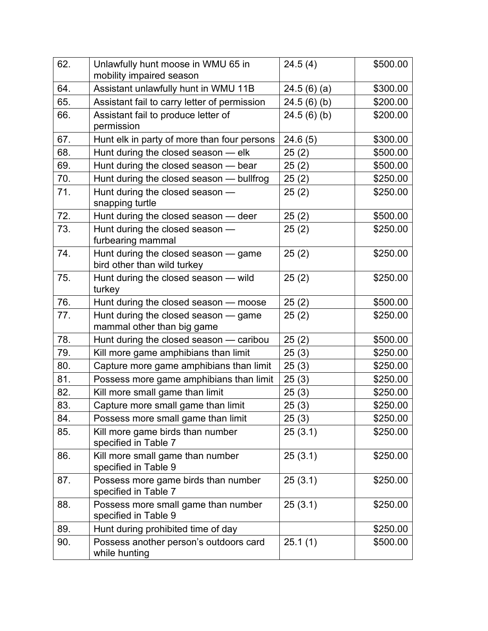| 62. | Unlawfully hunt moose in WMU 65 in<br>mobility impaired season      | 24.5(4)    | \$500.00 |
|-----|---------------------------------------------------------------------|------------|----------|
| 64. | Assistant unlawfully hunt in WMU 11B                                | 24.5(6)(a) | \$300.00 |
| 65. | Assistant fail to carry letter of permission                        | 24.5(6)(b) | \$200.00 |
| 66. | Assistant fail to produce letter of<br>permission                   | 24.5(6)(b) | \$200.00 |
| 67. | Hunt elk in party of more than four persons                         | 24.6(5)    | \$300.00 |
| 68. | Hunt during the closed season - elk                                 | 25(2)      | \$500.00 |
| 69. | Hunt during the closed season - bear                                | 25(2)      | \$500.00 |
| 70. | Hunt during the closed season — bullfrog                            | 25(2)      | \$250.00 |
| 71. | Hunt during the closed season -<br>snapping turtle                  | 25(2)      | \$250.00 |
| 72. | Hunt during the closed season — deer                                | 25(2)      | \$500.00 |
| 73. | Hunt during the closed season -<br>furbearing mammal                | 25(2)      | \$250.00 |
| 74. | Hunt during the closed season — game<br>bird other than wild turkey | 25(2)      | \$250.00 |
| 75. | Hunt during the closed season - wild<br>turkey                      | 25(2)      | \$250.00 |
| 76. | Hunt during the closed season — moose                               | 25(2)      | \$500.00 |
| 77. | Hunt during the closed season — game<br>mammal other than big game  | 25(2)      | \$250.00 |
| 78. | Hunt during the closed season - caribou                             | 25(2)      | \$500.00 |
| 79. | Kill more game amphibians than limit                                | 25(3)      | \$250.00 |
| 80. | Capture more game amphibians than limit                             | 25(3)      | \$250.00 |
| 81. | Possess more game amphibians than limit                             | 25(3)      | \$250.00 |
| 82. | Kill more small game than limit                                     | 25(3)      | \$250.00 |
| 83. | Capture more small game than limit                                  | 25(3)      | \$250.00 |
| 84. | Possess more small game than limit                                  | 25(3)      | \$250.00 |
| 85. | Kill more game birds than number<br>specified in Table 7            | 25(3.1)    | \$250.00 |
| 86. | Kill more small game than number<br>specified in Table 9            | 25(3.1)    | \$250.00 |
| 87. | Possess more game birds than number<br>specified in Table 7         | 25(3.1)    | \$250.00 |
| 88. | Possess more small game than number<br>specified in Table 9         | 25(3.1)    | \$250.00 |
| 89. | Hunt during prohibited time of day                                  |            | \$250.00 |
| 90. | Possess another person's outdoors card<br>while hunting             | 25.1(1)    | \$500.00 |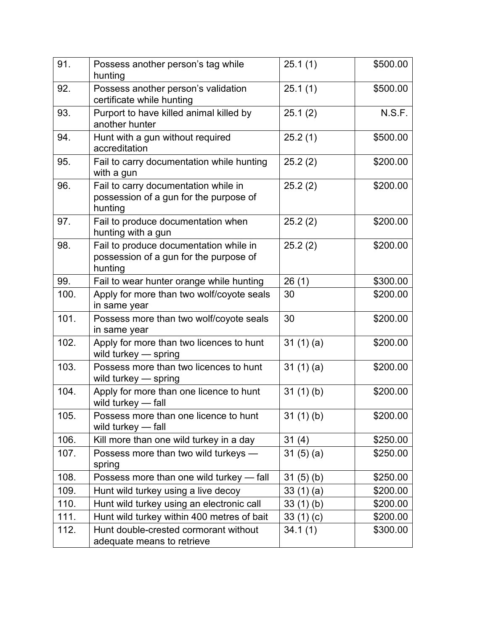| 91.  | Possess another person's tag while<br>hunting                                               | 25.1(1)     | \$500.00 |
|------|---------------------------------------------------------------------------------------------|-------------|----------|
| 92.  | Possess another person's validation<br>certificate while hunting                            | 25.1(1)     | \$500.00 |
| 93.  | Purport to have killed animal killed by<br>another hunter                                   | 25.1(2)     | N.S.F.   |
| 94.  | Hunt with a gun without required<br>accreditation                                           | 25.2(1)     | \$500.00 |
| 95.  | Fail to carry documentation while hunting<br>with a gun                                     | 25.2(2)     | \$200.00 |
| 96.  | Fail to carry documentation while in<br>possession of a gun for the purpose of<br>hunting   | 25.2(2)     | \$200.00 |
| 97.  | Fail to produce documentation when<br>hunting with a gun                                    | 25.2(2)     | \$200.00 |
| 98.  | Fail to produce documentation while in<br>possession of a gun for the purpose of<br>hunting | 25.2(2)     | \$200.00 |
| 99.  | Fail to wear hunter orange while hunting                                                    | 26(1)       | \$300.00 |
| 100. | Apply for more than two wolf/coyote seals<br>in same year                                   | 30          | \$200.00 |
| 101. | Possess more than two wolf/coyote seals<br>in same year                                     | 30          | \$200.00 |
| 102. | Apply for more than two licences to hunt<br>wild turkey - spring                            | 31(1)(a)    | \$200.00 |
| 103. | Possess more than two licences to hunt<br>wild turkey - spring                              | 31(1)(a)    | \$200.00 |
| 104. | Apply for more than one licence to hunt<br>wild turkey - fall                               | 31(1)(b)    | \$200.00 |
| 105. | Possess more than one licence to hunt<br>wild turkey - fall                                 | 31(1)(b)    | \$200.00 |
| 106. | Kill more than one wild turkey in a day                                                     | 31(4)       | \$250.00 |
| 107. | Possess more than two wild turkeys -<br>spring                                              | 31(5)(a)    | \$250.00 |
| 108. | Possess more than one wild turkey - fall                                                    | 31(5)(b)    | \$250.00 |
| 109. | Hunt wild turkey using a live decoy                                                         | 33(1)(a)    | \$200.00 |
| 110. | Hunt wild turkey using an electronic call                                                   | 33(1)(b)    | \$200.00 |
| 111. | Hunt wild turkey within 400 metres of bait                                                  | 33 $(1)(c)$ | \$200.00 |
| 112. | Hunt double-crested cormorant without<br>adequate means to retrieve                         | 34.1(1)     | \$300.00 |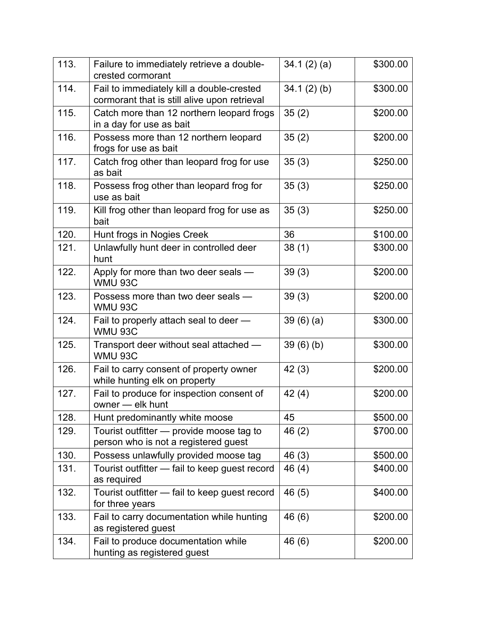| 113. | Failure to immediately retrieve a double-<br>crested cormorant                            | 34.1(2)(a)    | \$300.00 |
|------|-------------------------------------------------------------------------------------------|---------------|----------|
| 114. | Fail to immediately kill a double-crested<br>cormorant that is still alive upon retrieval | $34.1(2)$ (b) | \$300.00 |
| 115. | Catch more than 12 northern leopard frogs<br>in a day for use as bait                     | 35(2)         | \$200.00 |
| 116. | Possess more than 12 northern leopard<br>frogs for use as bait                            | 35(2)         | \$200.00 |
| 117. | Catch frog other than leopard frog for use<br>as bait                                     | 35(3)         | \$250.00 |
| 118. | Possess frog other than leopard frog for<br>use as bait                                   | 35(3)         | \$250.00 |
| 119. | Kill frog other than leopard frog for use as<br>bait                                      | 35(3)         | \$250.00 |
| 120. | Hunt frogs in Nogies Creek                                                                | 36            | \$100.00 |
| 121. | Unlawfully hunt deer in controlled deer<br>hunt                                           | 38(1)         | \$300.00 |
| 122. | Apply for more than two deer seals -<br><b>WMU 93C</b>                                    | 39(3)         | \$200.00 |
| 123. | Possess more than two deer seals -<br><b>WMU 93C</b>                                      | 39(3)         | \$200.00 |
| 124. | Fail to properly attach seal to deer -<br><b>WMU 93C</b>                                  | 39(6)(a)      | \$300.00 |
| 125. | Transport deer without seal attached -<br><b>WMU 93C</b>                                  | 39(6)(b)      | \$300.00 |
| 126. | Fail to carry consent of property owner<br>while hunting elk on property                  | 42(3)         | \$200.00 |
| 127. | Fail to produce for inspection consent of<br>owner - elk hunt                             | 42(4)         | \$200.00 |
| 128. | Hunt predominantly white moose                                                            | 45            | \$500.00 |
| 129. | Tourist outfitter — provide moose tag to<br>person who is not a registered guest          | 46 (2)        | \$700.00 |
| 130. | Possess unlawfully provided moose tag                                                     | 46 (3)        | \$500.00 |
| 131. | Tourist outfitter - fail to keep guest record<br>as required                              | 46 (4)        | \$400.00 |
| 132. | Tourist outfitter - fail to keep guest record<br>for three years                          | 46 (5)        | \$400.00 |
| 133. | Fail to carry documentation while hunting<br>as registered guest                          | 46 (6)        | \$200.00 |
| 134. | Fail to produce documentation while<br>hunting as registered guest                        | 46 (6)        | \$200.00 |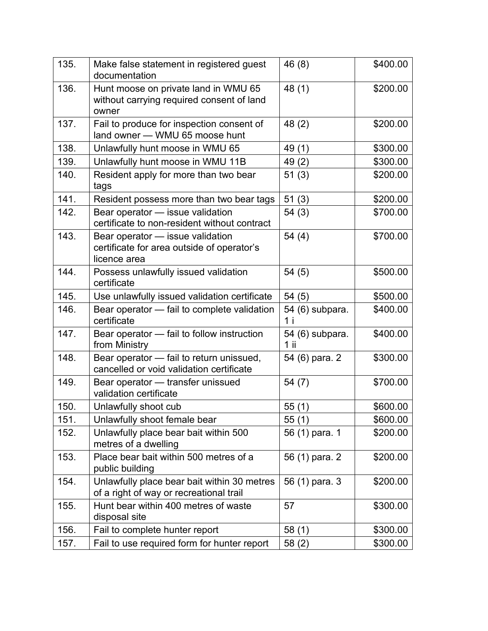| 135. | Make false statement in registered guest<br>documentation                                      | 46 (8)                    | \$400.00 |
|------|------------------------------------------------------------------------------------------------|---------------------------|----------|
| 136. | Hunt moose on private land in WMU 65<br>without carrying required consent of land<br>owner     | 48 (1)                    | \$200.00 |
| 137. | Fail to produce for inspection consent of<br>land owner - WMU 65 moose hunt                    | 48 (2)                    | \$200.00 |
| 138. | Unlawfully hunt moose in WMU 65                                                                | 49 (1)                    | \$300.00 |
| 139. | Unlawfully hunt moose in WMU 11B                                                               | 49(2)                     | \$300.00 |
| 140. | Resident apply for more than two bear<br>tags                                                  | 51(3)                     | \$200.00 |
| 141. | Resident possess more than two bear tags                                                       | 51(3)                     | \$200.00 |
| 142. | Bear operator - issue validation<br>certificate to non-resident without contract               | 54(3)                     | \$700.00 |
| 143. | Bear operator - issue validation<br>certificate for area outside of operator's<br>licence area | 54(4)                     | \$700.00 |
| 144. | Possess unlawfully issued validation<br>certificate                                            | 54(5)                     | \$500.00 |
| 145. | Use unlawfully issued validation certificate                                                   | 54(5)                     | \$500.00 |
| 146. | Bear operator - fail to complete validation<br>certificate                                     | 54 (6) subpara.<br>1 i    | \$400.00 |
| 147. | Bear operator - fail to follow instruction<br>from Ministry                                    | 54 (6) subpara.<br>$1$ ii | \$400.00 |
| 148. | Bear operator - fail to return unissued,<br>cancelled or void validation certificate           | 54 (6) para. 2            | \$300.00 |
| 149. | Bear operator - transfer unissued<br>validation certificate                                    | 54(7)                     | \$700.00 |
| 150. | Unlawfully shoot cub                                                                           | 55(1)                     | \$600.00 |
| 151. | Unlawfully shoot female bear                                                                   | 55(1)                     | \$600.00 |
| 152. | Unlawfully place bear bait within 500<br>metres of a dwelling                                  | 56 (1) para. 1            | \$200.00 |
| 153. | Place bear bait within 500 metres of a<br>public building                                      | 56 (1) para. 2            | \$200.00 |
| 154. | Unlawfully place bear bait within 30 metres<br>of a right of way or recreational trail         | 56 (1) para. 3            | \$200.00 |
| 155. | Hunt bear within 400 metres of waste<br>disposal site                                          | 57                        | \$300.00 |
| 156. | Fail to complete hunter report                                                                 | 58(1)                     | \$300.00 |
| 157. | Fail to use required form for hunter report                                                    | 58(2)                     | \$300.00 |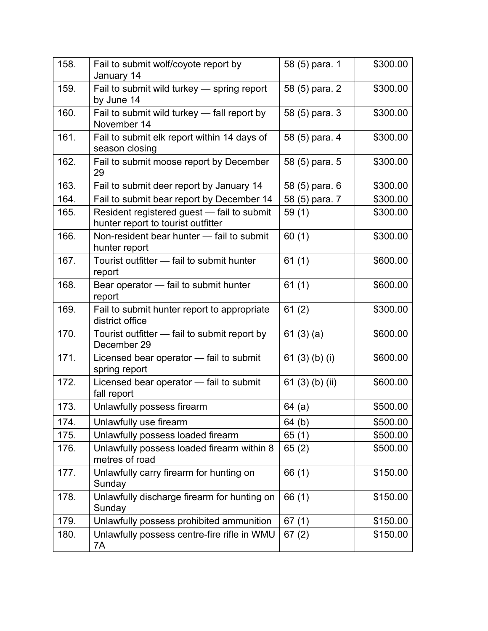| 158. | Fail to submit wolf/coyote report by<br>January 14                               | 58 (5) para. 1        | \$300.00 |
|------|----------------------------------------------------------------------------------|-----------------------|----------|
| 159. | Fail to submit wild turkey - spring report<br>by June 14                         | 58 (5) para. 2        | \$300.00 |
| 160. | Fail to submit wild turkey - fall report by<br>November 14                       | 58 (5) para. 3        | \$300.00 |
| 161. | Fail to submit elk report within 14 days of<br>season closing                    | 58 (5) para. 4        | \$300.00 |
| 162. | Fail to submit moose report by December<br>29                                    | 58 (5) para. 5        | \$300.00 |
| 163. | Fail to submit deer report by January 14                                         | 58 (5) para. 6        | \$300.00 |
| 164. | Fail to submit bear report by December 14                                        | 58 (5) para. 7        | \$300.00 |
| 165. | Resident registered guest - fail to submit<br>hunter report to tourist outfitter | 59(1)                 | \$300.00 |
| 166. | Non-resident bear hunter - fail to submit<br>hunter report                       | 60(1)                 | \$300.00 |
| 167. | Tourist outfitter - fail to submit hunter<br>report                              | 61(1)                 | \$600.00 |
| 168. | Bear operator - fail to submit hunter<br>report                                  | 61(1)                 | \$600.00 |
| 169. | Fail to submit hunter report to appropriate<br>district office                   | 61(2)                 | \$300.00 |
| 170. | Tourist outfitter - fail to submit report by<br>December 29                      | 61(3)(a)              | \$600.00 |
| 171. | Licensed bear operator - fail to submit<br>spring report                         | 61 $(3)$ $(b)$ $(i)$  | \$600.00 |
| 172. | Licensed bear operator - fail to submit<br>fall report                           | 61 $(3)$ $(b)$ $(ii)$ | \$600.00 |
| 173. | Unlawfully possess firearm                                                       | 64(a)                 | \$500.00 |
| 174. | Unlawfully use firearm                                                           | 64 (b)                | \$500.00 |
| 175. | Unlawfully possess loaded firearm                                                | 65(1)                 | \$500.00 |
| 176. | Unlawfully possess loaded firearm within 8<br>metres of road                     | 65 $(2)$              | \$500.00 |
| 177. | Unlawfully carry firearm for hunting on<br>Sunday                                | 66 (1)                | \$150.00 |
| 178. | Unlawfully discharge firearm for hunting on<br>Sunday                            | 66 (1)                | \$150.00 |
| 179. | Unlawfully possess prohibited ammunition                                         | 67(1)                 | \$150.00 |
| 180. | Unlawfully possess centre-fire rifle in WMU<br>7A                                | 67(2)                 | \$150.00 |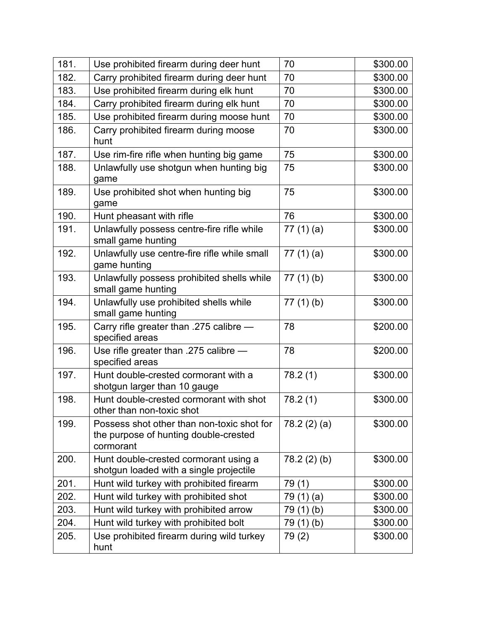| 181. | Use prohibited firearm during deer hunt                                                          | 70             | \$300.00 |
|------|--------------------------------------------------------------------------------------------------|----------------|----------|
| 182. | Carry prohibited firearm during deer hunt                                                        | 70             | \$300.00 |
| 183. | Use prohibited firearm during elk hunt                                                           | 70             | \$300.00 |
| 184. | Carry prohibited firearm during elk hunt                                                         | 70             | \$300.00 |
| 185. | Use prohibited firearm during moose hunt                                                         | 70             | \$300.00 |
| 186. | Carry prohibited firearm during moose<br>hunt                                                    | 70             | \$300.00 |
| 187. | Use rim-fire rifle when hunting big game                                                         | 75             | \$300.00 |
| 188. | Unlawfully use shotgun when hunting big<br>game                                                  | 75             | \$300.00 |
| 189. | Use prohibited shot when hunting big<br>game                                                     | 75             | \$300.00 |
| 190. | Hunt pheasant with rifle                                                                         | 76             | \$300.00 |
| 191. | Unlawfully possess centre-fire rifle while<br>small game hunting                                 | 77(1)(a)       | \$300.00 |
| 192. | Unlawfully use centre-fire rifle while small<br>game hunting                                     | 77(1)(a)       | \$300.00 |
| 193. | Unlawfully possess prohibited shells while<br>small game hunting                                 | 77 $(1)$ $(b)$ | \$300.00 |
| 194. | Unlawfully use prohibited shells while<br>small game hunting                                     | $77(1)$ (b)    | \$300.00 |
| 195. | Carry rifle greater than .275 calibre -<br>specified areas                                       | 78             | \$200.00 |
| 196. | Use rifle greater than .275 calibre $-$<br>specified areas                                       | 78             | \$200.00 |
| 197. | Hunt double-crested cormorant with a<br>shotgun larger than 10 gauge                             | 78.2(1)        | \$300.00 |
| 198. | Hunt double-crested cormorant with shot<br>other than non-toxic shot                             | 78.2(1)        | \$300.00 |
| 199. | Possess shot other than non-toxic shot for<br>the purpose of hunting double-crested<br>cormorant | 78.2 (2) (a)   | \$300.00 |
| 200. | Hunt double-crested cormorant using a<br>shotgun loaded with a single projectile                 | 78.2(2)(b)     | \$300.00 |
| 201. | Hunt wild turkey with prohibited firearm                                                         | 79(1)          | \$300.00 |
| 202. | Hunt wild turkey with prohibited shot                                                            | 79 (1) (a)     | \$300.00 |
| 203. | Hunt wild turkey with prohibited arrow                                                           | 79 (1) (b)     | \$300.00 |
| 204. | Hunt wild turkey with prohibited bolt                                                            | 79 (1) (b)     | \$300.00 |
| 205. | Use prohibited firearm during wild turkey<br>hunt                                                | 79(2)          | \$300.00 |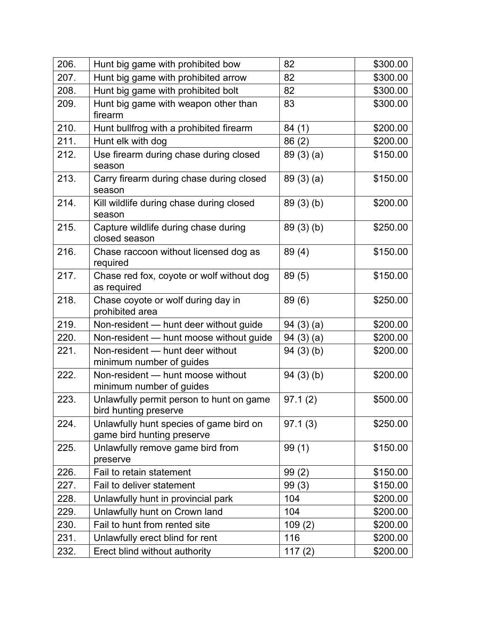| 206. | Hunt big game with prohibited bow                                     | 82       | \$300.00 |
|------|-----------------------------------------------------------------------|----------|----------|
| 207. | Hunt big game with prohibited arrow                                   | 82       | \$300.00 |
| 208. | Hunt big game with prohibited bolt                                    | 82       | \$300.00 |
| 209. | Hunt big game with weapon other than<br>firearm                       | 83       | \$300.00 |
| 210. | Hunt bullfrog with a prohibited firearm                               | 84 (1)   | \$200.00 |
| 211. | Hunt elk with dog                                                     | 86(2)    | \$200.00 |
| 212. | Use firearm during chase during closed<br>season                      | 89(3)(a) | \$150.00 |
| 213. | Carry firearm during chase during closed<br>season                    | 89(3)(a) | \$150.00 |
| 214. | Kill wildlife during chase during closed<br>season                    | 89(3)(b) | \$200.00 |
| 215. | Capture wildlife during chase during<br>closed season                 | 89(3)(b) | \$250.00 |
| 216. | Chase raccoon without licensed dog as<br>required                     | 89 (4)   | \$150.00 |
| 217. | Chase red fox, coyote or wolf without dog<br>as required              | 89(5)    | \$150.00 |
| 218. | Chase coyote or wolf during day in<br>prohibited area                 | 89 (6)   | \$250.00 |
| 219. | Non-resident - hunt deer without guide                                | 94(3)(a) | \$200.00 |
| 220. | Non-resident - hunt moose without guide                               | 94(3)(a) | \$200.00 |
| 221. | Non-resident - hunt deer without<br>minimum number of guides          | 94(3)(b) | \$200.00 |
| 222. | Non-resident - hunt moose without<br>minimum number of guides         | 94(3)(b) | \$200.00 |
| 223. | Unlawfully permit person to hunt on game<br>bird hunting preserve     | 97.1(2)  | \$500.00 |
| 224. | Unlawfully hunt species of game bird on<br>game bird hunting preserve | 97.1(3)  | \$250.00 |
| 225. | Unlawfully remove game bird from<br>preserve                          | 99(1)    | \$150.00 |
| 226. | Fail to retain statement                                              | 99(2)    | \$150.00 |
| 227. | Fail to deliver statement                                             | 99(3)    | \$150.00 |
| 228. | Unlawfully hunt in provincial park                                    | 104      | \$200.00 |
| 229. | Unlawfully hunt on Crown land                                         | 104      | \$200.00 |
| 230. | Fail to hunt from rented site                                         | 109(2)   | \$200.00 |
| 231. | Unlawfully erect blind for rent                                       | 116      | \$200.00 |
| 232. | Erect blind without authority                                         | 117(2)   | \$200.00 |